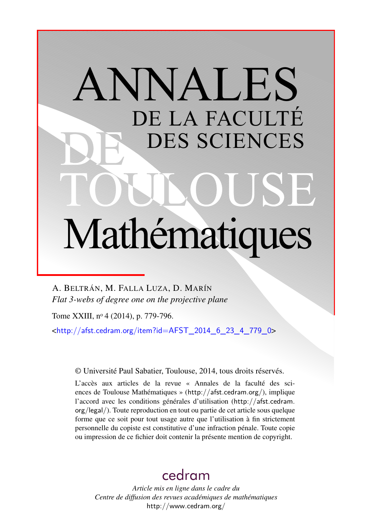# ANNALES DE LA FACULTÉ DES SCIENCES Mathématiques

A. BELTRÁN, M. FALLA LUZA, D. MARÍN *Flat 3-webs of degree one on the projective plane*

Tome XXIII, nº 4 (2014), p. 779-796.

 $\frac{\text{th}}{\text{t}}/$ afst.cedram.org/item?id=AFST\_2014\_6\_23\_4\_779\_0>

© Université Paul Sabatier, Toulouse, 2014, tous droits réservés.

L'accès aux articles de la revue « Annales de la faculté des sciences de Toulouse Mathématiques » (<http://afst.cedram.org/>), implique l'accord avec les conditions générales d'utilisation ([http://afst.cedram.](http://afst.cedram.org/legal/) [org/legal/](http://afst.cedram.org/legal/)). Toute reproduction en tout ou partie de cet article sous quelque forme que ce soit pour tout usage autre que l'utilisation à fin strictement personnelle du copiste est constitutive d'une infraction pénale. Toute copie ou impression de ce fichier doit contenir la présente mention de copyright.

# [cedram](http://www.cedram.org/)

*Article mis en ligne dans le cadre du Centre de diffusion des revues académiques de mathématiques* <http://www.cedram.org/>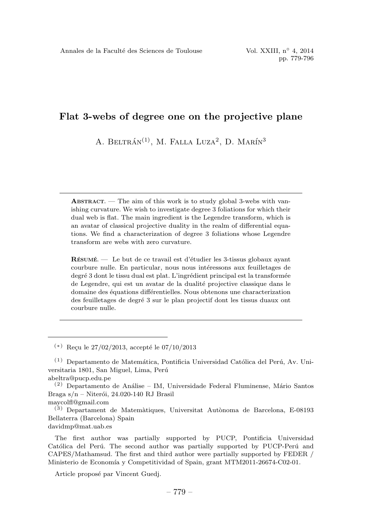A. BELTRÁN<sup>(1)</sup>, M. FALLA LUZA<sup>2</sup>, D. MARÍN<sup>3</sup>

**ABSTRACT.** — The aim of this work is to study global 3-webs with vanishing curvature. We wish to investigate degree 3 foliations for which their dual web is flat. The main ingredient is the Legendre transform, which is an avatar of classical projective duality in the realm of differential equations. We find a characterization of degree 3 foliations whose Legendre transform are webs with zero curvature.

RÉSUMÉ. — Le but de ce travail est d'étudier les 3-tissus globaux ayant courbure nulle. En particular, nous nous intéressons aux feuilletages de degré 3 dont le tissu dual est plat. L'ingrédient principal est la transformée de Legendre, qui est un avatar de la dualité projective classique dans le domaine des équations différentielles. Nous obtenons une characterization des feuilletages de degré 3 sur le plan projectif dont les tissus duaux ont courbure nulle.

 $(*)$  Recu le 27/02/2013, accepté le 07/10/2013

maycolfl@gmail.com

 $(3)$  Departament de Matemàtiques, Universitat Autònoma de Barcelona, E-08193 Bellaterra (Barcelona) Spain

davidmp@mat.uab.es

The first author was partially supported by PUCP, Pontificia Universidad Católica del Perú. The second author was partially supported by PUCP-Perú and CAPES/Mathamsud. The first and third author were partially supported by FEDER / Ministerio de Economía y Competitividad of Spain, grant MTM2011-26674-C02-01.

Article proposé par Vincent Guedj.

 $(1)$  Departamento de Matemática, Pontificia Universidad Católica del Perú, Av. Universitaria 1801, San Miguel, Lima, Perú

abeltra@pucp.edu.pe

 $(2)$  Departamento de Análise – IM, Universidade Federal Fluminense, Mário Santos Braga  $s/n$  – Niterói, 24.020-140 RJ Brasil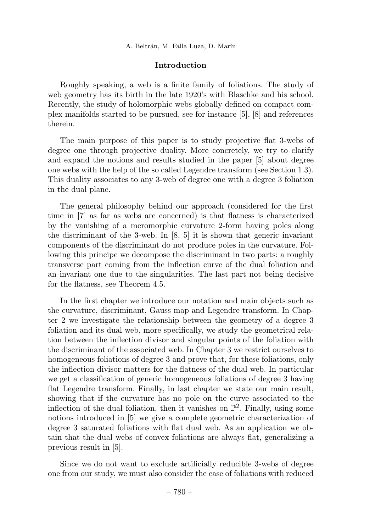# Introduction

Roughly speaking, a web is a finite family of foliations. The study of web geometry has its birth in the late 1920's with Blaschke and his school. Recently, the study of holomorphic webs globally defined on compact complex manifolds started to be pursued, see for instance [5], [8] and references therein.

The main purpose of this paper is to study projective flat 3-webs of degree one through projective duality. More concretely, we try to clarify and expand the notions and results studied in the paper [5] about degree one webs with the help of the so called Legendre transform (see Section 1.3). This duality associates to any 3-web of degree one with a degree 3 foliation in the dual plane.

The general philosophy behind our approach (considered for the first time in [7] as far as webs are concerned) is that flatness is characterized by the vanishing of a meromorphic curvature 2-form having poles along the discriminant of the 3-web. In [8, 5] it is shown that generic invariant components of the discriminant do not produce poles in the curvature. Following this principe we decompose the discriminant in two parts: a roughly transverse part coming from the inflection curve of the dual foliation and an invariant one due to the singularities. The last part not being decisive for the flatness, see Theorem 4.5.

In the first chapter we introduce our notation and main objects such as the curvature, discriminant, Gauss map and Legendre transform. In Chapter 2 we investigate the relationship between the geometry of a degree 3 foliation and its dual web, more specifically, we study the geometrical relation between the inflection divisor and singular points of the foliation with the discriminant of the associated web. In Chapter 3 we restrict ourselves to homogeneous foliations of degree 3 and prove that, for these foliations, only the inflection divisor matters for the flatness of the dual web. In particular we get a classification of generic homogeneous foliations of degree 3 having flat Legendre transform. Finally, in last chapter we state our main result, showing that if the curvature has no pole on the curve associated to the inflection of the dual foliation, then it vanishes on  $\mathbb{P}^2$ . Finally, using some notions introduced in [5] we give a complete geometric characterization of degree 3 saturated foliations with flat dual web. As an application we obtain that the dual webs of convex foliations are always flat, generalizing a previous result in [5].

Since we do not want to exclude artificially reducible 3-webs of degree one from our study, we must also consider the case of foliations with reduced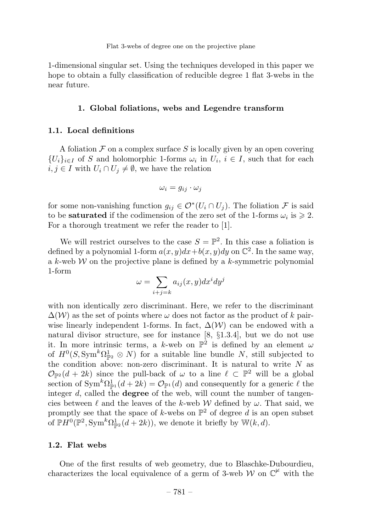1-dimensional singular set. Using the techniques developed in this paper we hope to obtain a fully classification of reducible degree 1 flat 3-webs in the near future.

#### 1. Global foliations, webs and Legendre transform

## 1.1. Local definitions

A foliation  $\mathcal F$  on a complex surface  $S$  is locally given by an open covering  ${U_i}_{i\in I}$  of S and holomorphic 1-forms  $\omega_i$  in  $U_i$ ,  $i \in I$ , such that for each  $i, j \in I$  with  $U_i \cap U_j \neq \emptyset$ , we have the relation

$$
\omega_i = g_{ij} \cdot \omega_j
$$

for some non-vanishing function  $g_{ij} \in \mathcal{O}^*(U_i \cap U_j)$ . The foliation F is said to be **saturated** if the codimension of the zero set of the 1-forms  $\omega_i$  is  $\geq 2$ . For a thorough treatment we refer the reader to [1].

We will restrict ourselves to the case  $S = \mathbb{P}^2$ . In this case a foliation is defined by a polynomial 1-form  $a(x, y)dx + b(x, y)dy$  on  $\mathbb{C}^2$ . In the same way, a k-web  $W$  on the projective plane is defined by a k-symmetric polynomial 1-form

$$
\omega = \sum_{i+j=k} a_{ij}(x, y) dx^i dy^j
$$

with non identically zero discriminant. Here, we refer to the discriminant  $\Delta(W)$  as the set of points where  $\omega$  does not factor as the product of k pairwise linearly independent 1-forms. In fact,  $\Delta(\mathcal{W})$  can be endowed with a natural divisor structure, see for instance [8, §1.3.4], but we do not use it. In more intrinsic terms, a k-web on  $\mathbb{P}^{\hat{2}}$  is defined by an element  $\omega$ of  $H^0(S, \text{Sym}^k \Omega_{\mathbb{P}^2}^1 \otimes N)$  for a suitable line bundle N, still subjected to the condition above: non-zero discriminant. It is natural to write  $N$  as  $\mathcal{O}_{\mathbb{P}^2}(d+2k)$  since the pull-back of  $\omega$  to a line  $\ell \subset \mathbb{P}^2$  will be a global section of  $\text{Sym}^k \Omega^1_{\mathbb{P}^1}(d + 2k) = \mathcal{O}_{\mathbb{P}^1}(d)$  and consequently for a generic  $\ell$  the integer  $d$ , called the **degree** of the web, will count the number of tangencies between  $\ell$  and the leaves of the k-web W defined by  $\omega$ . That said, we promptly see that the space of k-webs on  $\mathbb{P}^2$  of degree d is an open subset of  $\mathbb{P}H^0(\mathbb{P}^2, \text{Sym}^k\Omega_{\mathbb{P}^2}^1(d+2k)),$  we denote it briefly by  $\mathbb{W}(k, d)$ .

# 1.2. Flat webs

One of the first results of web geometry, due to Blaschke-Dubourdieu, characterizes the local equivalence of a germ of 3-web W on  $\mathbb{C}^{\not\vdash}$  with the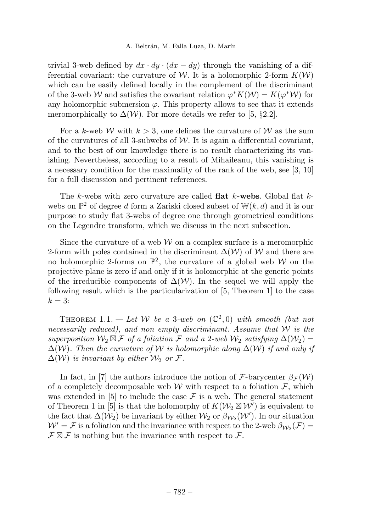trivial 3-web defined by  $dx \cdot dy \cdot (dx - dy)$  through the vanishing of a differential covariant: the curvature of W. It is a holomorphic 2-form  $K(W)$ which can be easily defined locally in the complement of the discriminant of the 3-web W and satisfies the covariant relation  $\varphi^*K(\mathcal{W}) = K(\varphi^*\mathcal{W})$  for any holomorphic submersion  $\varphi$ . This property allows to see that it extends meromorphically to  $\Delta(W)$ . For more details we refer to [5, §2.2].

For a k-web W with  $k > 3$ , one defines the curvature of W as the sum of the curvatures of all 3-subwebs of  $W$ . It is again a differential covariant, and to the best of our knowledge there is no result characterizing its vanishing. Nevertheless, according to a result of Mihaileanu, this vanishing is a necessary condition for the maximality of the rank of the web, see [3, 10] for a full discussion and pertinent references.

The  $k$ -webs with zero curvature are called **flat**  $k$ **-webs**. Global flat  $k$ webs on  $\mathbb{P}^2$  of degree d form a Zariski closed subset of  $\mathbb{W}(k, d)$  and it is our purpose to study flat 3-webs of degree one through geometrical conditions on the Legendre transform, which we discuss in the next subsection.

Since the curvature of a web  $W$  on a complex surface is a meromorphic 2-form with poles contained in the discriminant  $\Delta(\mathcal{W})$  of W and there are no holomorphic 2-forms on  $\mathbb{P}^2$ , the curvature of a global web W on the projective plane is zero if and only if it is holomorphic at the generic points of the irreducible components of  $\Delta(W)$ . In the sequel we will apply the following result which is the particularization of [5, Theorem 1] to the case  $k=3$ :

THEOREM 1.1. — Let W be a 3-web on  $(\mathbb{C}^2,0)$  with smooth (but not necessarily reduced), and non empty discriminant. Assume that  $W$  is the superposition  $\mathcal{W}_2 \boxtimes \mathcal{F}$  of a foliation  $\mathcal F$  and a 2-web  $\mathcal{W}_2$  satisfying  $\Delta(\mathcal{W}_2)$  =  $\Delta(W)$ . Then the curvature of W is holomorphic along  $\Delta(W)$  if and only if  $\Delta(W)$  is invariant by either  $\mathcal{W}_2$  or  $\mathcal{F}$ .

In fact, in [7] the authors introduce the notion of F-barycenter  $\beta_{\mathcal{F}}(\mathcal{W})$ of a completely decomposable web W with respect to a foliation  $\mathcal{F}$ , which was extended in [5] to include the case  $\mathcal F$  is a web. The general statement of Theorem 1 in [5] is that the holomorphy of  $K(\mathcal{W}_2 \boxtimes \mathcal{W}')$  is equivalent to the fact that  $\Delta(W_2)$  be invariant by either  $W_2$  or  $\beta_{W_2}(W')$ . In our situation  $W' = \mathcal{F}$  is a foliation and the invariance with respect to the 2-web  $\beta_{\mathcal{W}_2}(\mathcal{F}) =$  $\mathcal{F} \boxtimes \mathcal{F}$  is nothing but the invariance with respect to  $\mathcal{F}$ .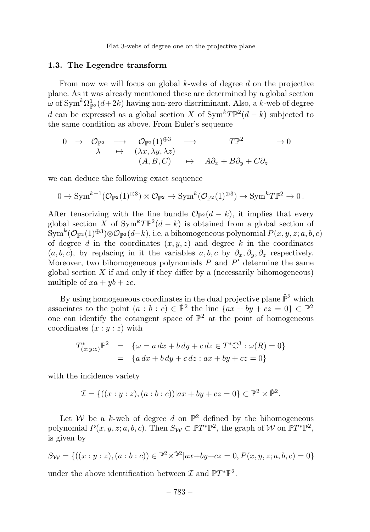#### 1.3. The Legendre transform

From now we will focus on global  $k$ -webs of degree  $d$  on the projective plane. As it was already mentioned these are determined by a global section  $\omega$  of Sym<sup>k</sup> $\Omega_{\mathbb{P}^2}^1(d+2k)$  having non-zero discriminant. Also, a k-web of degree d can be expressed as a global section X of  $\text{Sym}^k T\mathbb{P}^2(d-k)$  subjected to the same condition as above. From Euler's sequence

$$
\begin{array}{ccccccc}\n0 & \to & \mathcal{O}_{\mathbb{P}^2} & \to & \mathcal{O}_{\mathbb{P}^2}(1)^{\oplus 3} & \to & T\mathbb{P}^2 & \to 0 \\
\lambda & \mapsto & (\lambda x, \lambda y, \lambda z) & & & \\
& & (A, B, C) & \mapsto & A\partial_x + B\partial_y + C\partial_z\n\end{array}
$$

we can deduce the following exact sequence

$$
0 \to \text{Sym}^{k-1}(\mathcal{O}_{\mathbb{P}^2}(1)^{\oplus 3}) \otimes \mathcal{O}_{\mathbb{P}^2} \to \text{Sym}^k(\mathcal{O}_{\mathbb{P}^2}(1)^{\oplus 3}) \to \text{Sym}^k T\mathbb{P}^2 \to 0.
$$

After tensorizing with the line bundle  $\mathcal{O}_{\mathbb{P}2}(d-k)$ , it implies that every global section X of  $\text{Sym}^k T \mathbb{P}^2(d-k)$  is obtained from a global section of  $\text{Sym}^k(\mathcal{O}_{\mathbb{P}^2}(1)^{\oplus 3})\otimes \mathcal{O}_{\mathbb{P}^2}(d-k)$ , i.e. a bihomogeneous polynomial  $P(x, y, z; a, b, c)$ of degree d in the coordinates  $(x, y, z)$  and degree k in the coordinates  $(a, b, c)$ , by replacing in it the variables  $a, b, c$  by  $\partial_x, \partial_y, \partial_z$  respectively. Moreover, two bihomogeneous polynomials  $P$  and  $P'$  determine the same global section  $X$  if and only if they differ by a (necessarily bihomogeneous) multiple of  $xa + yb + zc$ .

By using homogeneous coordinates in the dual projective plane  $\check{\mathbb{P}}^2$  which associates to the point  $(a : b : c) \in \check{\mathbb{P}}^2$  the line  $\{ax + by + cz = 0\} \subset \mathbb{P}^2$ one can identify the cotangent space of  $\mathbb{P}^2$  at the point of homogeneous coordinates  $(x:y:z)$  with

$$
T^*_{(x:y:z)}\mathbb{P}^2 = \{ \omega = a \, dx + b \, dy + c \, dz \in T^*\mathbb{C}^3 : \omega(R) = 0 \}
$$
  
= 
$$
\{ a \, dx + b \, dy + c \, dz : ax + by + cz = 0 \}
$$

with the incidence variety

$$
\mathcal{I} = \{ ((x:y:z), (a:b:c)) | ax + by + cz = 0 \} \subset \mathbb{P}^2 \times \check{\mathbb{P}}^2.
$$

Let W be a k-web of degree d on  $\mathbb{P}^2$  defined by the bihomogeneous polynomial  $P(x, y, z; a, b, c)$ . Then  $S_W \subset \mathbb{P}T^*\mathbb{P}^2$ , the graph of W on  $\mathbb{P}T^*\mathbb{P}^2$ , is given by

$$
S_W = \{((x:y:z),(a:b:c)) \in \mathbb{P}^2 \times \mathbb{P}^2 | ax+by+cz=0, P(x,y,z;a,b,c)=0\}
$$

under the above identification between  $\mathcal I$  and  $\mathbb PT^*\mathbb P^2$ .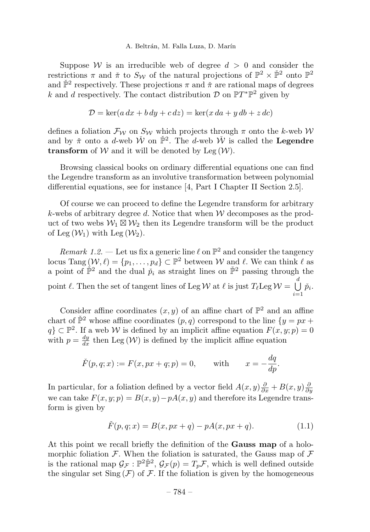Suppose W is an irreducible web of degree  $d > 0$  and consider the restrictions  $\pi$  and  $\check{\pi}$  to  $S_{\mathcal{W}}$  of the natural projections of  $\mathbb{P}^2 \times \check{\mathbb{P}}^2$  onto  $\mathbb{P}^2$ and  $\check{\mathbb{P}}^2$  respectively. These projections  $\pi$  and  $\check{\pi}$  are rational maps of degrees k and d respectively. The contact distribution  $\mathcal{D}$  on  $\mathbb{P}T^*\mathbb{P}^2$  given by

$$
\mathcal{D} = \ker(a\,dx + b\,dy + c\,dz) = \ker(x\,da + y\,db + z\,dc)
$$

defines a foliation  $\mathcal{F}_{\mathcal{W}}$  on  $S_{\mathcal{W}}$  which projects through  $\pi$  onto the k-web  $\mathcal{W}$ and by  $\check{\pi}$  onto a d-web  $\check{W}$  on  $\check{\mathbb{P}}^2$ . The d-web  $\check{W}$  is called the **Legendre** transform of  $W$  and it will be denoted by Leg  $(W)$ .

Browsing classical books on ordinary differential equations one can find the Legendre transform as an involutive transformation between polynomial differential equations, see for instance [4, Part I Chapter II Section 2.5].

Of course we can proceed to define the Legendre transform for arbitrary k-webs of arbitrary degree d. Notice that when  $W$  decomposes as the product of two webs  $W_1 \boxtimes W_2$  then its Legendre transform will be the product of Leg  $(\mathcal{W}_1)$  with Leg  $(\mathcal{W}_2)$ .

Remark 1.2. — Let us fix a generic line  $\ell$  on  $\mathbb{P}^2$  and consider the tangency locus Tang  $(\mathcal{W}, \ell) = \{p_1, \ldots, p_d\} \subset \mathbb{P}^2$  between W and  $\ell$ . We can think  $\ell$  as a point of  $\check{\mathbb{P}}^2$  and the dual  $\check{p}_i$  as straight lines on  $\check{\mathbb{P}}^2$  passing through the point  $\ell$ . Then the set of tangent lines of Leg W at  $\ell$  is just  $T_{\ell}$ Leg  $\mathcal{W} = \bigcup_{\ell=1}^{d}$  $\bigcup_{i=1} \check{p}_i.$ 

Consider affine coordinates  $(x, y)$  of an affine chart of  $\mathbb{P}^2$  and an affine chart of  $\check{\mathbb{P}}^2$  whose affine coordinates  $(p, q)$  correspond to the line  $\{y = px + q\}$  $q \} \subset \mathbb{P}^2$ . If a web W is defined by an implicit affine equation  $F(x, y; p) = 0$ with  $p = \frac{dy}{dx}$  then Leg  $(\mathcal{W})$  is defined by the implicit affine equation

$$
\check{F}(p, q; x) := F(x, px + q; p) = 0,
$$
 with  $x = -\frac{dq}{dp}.$ 

In particular, for a foliation defined by a vector field  $A(x, y)\frac{\partial}{\partial x} + B(x, y)\frac{\partial}{\partial y}$ we can take  $F(x, y; p) = B(x, y) - pA(x, y)$  and therefore its Legendre transform is given by

$$
\check{F}(p,q;x) = B(x, px+q) - pA(x, px+q).
$$
 (1.1)

At this point we recall briefly the definition of the **Gauss map** of a holomorphic foliation  $\mathcal F$ . When the foliation is saturated, the Gauss map of  $\mathcal F$ is the rational map  $\mathcal{G}_{\mathcal{F}}: \mathbb{P}^2 \check{\mathbb{P}}^2$ ,  $\mathcal{G}_{\mathcal{F}}(p) = T_p \mathcal{F}$ , which is well defined outside the singular set  $\text{Sing}(\mathcal{F})$  of  $\mathcal{F}$ . If the foliation is given by the homogeneous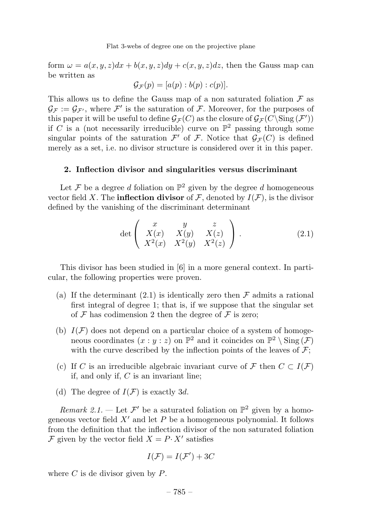form  $\omega = a(x, y, z)dx + b(x, y, z)dy + c(x, y, z)dz$ , then the Gauss map can be written as

$$
\mathcal{G}_{\mathcal{F}}(p) = [a(p) : b(p) : c(p)].
$$

This allows us to define the Gauss map of a non saturated foliation  $\mathcal F$  as  $\mathcal{G}_{\mathcal{F}} := \mathcal{G}_{\mathcal{F}}$ , where  $\mathcal{F}'$  is the saturation of  $\mathcal{F}$ . Moreover, for the purposes of this paper it will be useful to define  $\mathcal{G}_{\mathcal{F}}(C)$  as the closure of  $\mathcal{G}_{\mathcal{F}}(C \backslash Sing(\mathcal{F}'))$ if C is a (not necessarily irreducible) curve on  $\mathbb{P}^2$  passing through some singular points of the saturation  $\mathcal{F}'$  of  $\mathcal{F}$ . Notice that  $\mathcal{G}_{\mathcal{F}}(C)$  is defined merely as a set, i.e. no divisor structure is considered over it in this paper.

# 2. Inflection divisor and singularities versus discriminant

Let F be a degree d foliation on  $\mathbb{P}^2$  given by the degree d homogeneous vector field X. The **inflection divisor** of  $\mathcal F$ , denoted by  $I(\mathcal F)$ , is the divisor defined by the vanishing of the discriminant determinant

$$
\det \begin{pmatrix} x & y & z \\ X(x) & X(y) & X(z) \\ X^2(x) & X^2(y) & X^2(z) \end{pmatrix} .
$$
 (2.1)

This divisor has been studied in [6] in a more general context. In particular, the following properties were proven.

- (a) If the determinant  $(2.1)$  is identically zero then  $\mathcal F$  admits a rational first integral of degree 1; that is, if we suppose that the singular set of  $\mathcal F$  has codimension 2 then the degree of  $\mathcal F$  is zero;
- (b)  $I(F)$  does not depend on a particular choice of a system of homogeneous coordinates  $(x : y : z)$  on  $\mathbb{P}^2$  and it coincides on  $\mathbb{P}^2 \setminus \text{Sing}(\mathcal{F})$ with the curve described by the inflection points of the leaves of  $\mathcal{F}$ ;
- (c) If C is an irreducible algebraic invariant curve of F then  $C \subset I(\mathcal{F})$ if, and only if, C is an invariant line;
- (d) The degree of  $I(\mathcal{F})$  is exactly 3d.

Remark 2.1. — Let  $\mathcal{F}'$  be a saturated foliation on  $\mathbb{P}^2$  given by a homogeneous vector field  $X'$  and let P be a homogeneous polynomial. It follows from the definition that the inflection divisor of the non saturated foliation F given by the vector field  $X = P \cdot X'$  satisfies

$$
I(F) = I(F') + 3C
$$

where  $C$  is de divisor given by  $P$ .

– 785 –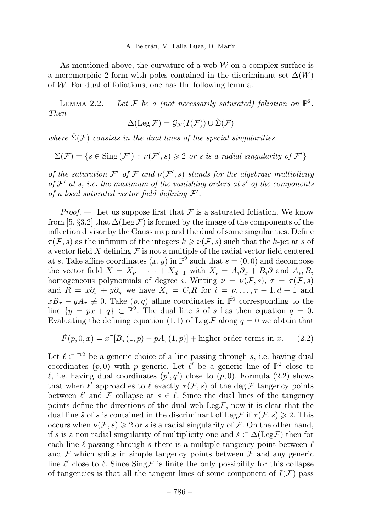As mentioned above, the curvature of a web  $W$  on a complex surface is a meromorphic 2-form with poles contained in the discriminant set  $\Delta(W)$ of  $W$ . For dual of foliations, one has the following lemma.

LEMMA 2.2. — Let F be a (not necessarily saturated) foliation on  $\mathbb{P}^2$ . Then

$$
\Delta(\operatorname{Leg} \mathcal{F}) = \mathcal{G}_{\mathcal{F}}(I(\mathcal{F})) \cup \check{\Sigma}(\mathcal{F})
$$

where  $\check{\Sigma}(\mathcal{F})$  consists in the dual lines of the special singularities

$$
\Sigma(\mathcal{F}) = \{ s \in \text{Sing}(\mathcal{F}') : \nu(\mathcal{F}', s) \geq 2 \text{ or } s \text{ is a radial singularity of } \mathcal{F}' \}
$$

of the saturation  $\mathcal{F}'$  of  $\mathcal F$  and  $\nu(\mathcal{F}',s)$  stands for the algebraic multiplicity of  $\mathcal{F}'$  at s, i.e. the maximum of the vanishing orders at s' of the components of a local saturated vector field defining  $\mathcal{F}'$ .

*Proof.* — Let us suppose first that  $\mathcal F$  is a saturated foliation. We know from [5, §3.2] that  $\Delta(\text{Leg }\mathcal{F})$  is formed by the image of the components of the inflection divisor by the Gauss map and the dual of some singularities. Define  $\tau(F, s)$  as the infimum of the integers  $k \geq \nu(F, s)$  such that the k-jet at s of a vector field X defining  $\mathcal F$  is not a multiple of the radial vector field centered at s. Take affine coordinates  $(x, y)$  in  $\mathbb{P}^2$  such that  $s = (0, 0)$  and decompose the vector field  $X = X_{\nu} + \cdots + X_{d+1}$  with  $X_i = A_i \partial_x + B_i \partial_x$  and  $A_i, B_i$ homogeneous polynomials of degree i. Writing  $\nu = \nu(\mathcal{F}, s)$ ,  $\tau = \tau(\mathcal{F}, s)$ and  $R = x\partial_x + y\partial_y$  we have  $X_i = C_iR$  for  $i = \nu, \ldots, \tau - 1, d + 1$  and  $xB_{\tau} - yA_{\tau} \neq 0$ . Take  $(p, q)$  affine coordinates in  $\tilde{\mathbb{P}}^2$  corresponding to the line  $\{y = px + q\} \subset \mathbb{P}^2$ . The dual line *š* of *s* has then equation  $q = 0$ . Evaluating the defining equation (1.1) of Leg  $\mathcal F$  along  $q = 0$  we obtain that

$$
\check{F}(p,0,x) = x^{\tau}[B_{\tau}(1,p) - pA_{\tau}(1,p)] + \text{higher order terms in } x. \qquad (2.2)
$$

Let  $\ell \subset \mathbb{P}^2$  be a generic choice of a line passing through s, i.e. having dual coordinates  $(p, 0)$  with p generic. Let  $\ell'$  be a generic line of  $\mathbb{P}^2$  close to  $\ell$ , i.e. having dual coordinates  $(p', q')$  close to  $(p, 0)$ . Formula  $(2.2)$  shows that when  $\ell'$  approaches to  $\ell$  exactly  $\tau(\mathcal{F}, s)$  of the deg  $\mathcal F$  tangency points between  $\ell'$  and F collapse at  $s \in \ell$ . Since the dual lines of the tangency points define the directions of the dual web  $\text{Leg}\mathcal{F}$ , now it is clear that the dual line  $\check{s}$  of s is contained in the discriminant of Leg F if  $\tau(\mathcal{F}, s) \geq 2$ . This occurs when  $\nu(\mathcal{F}, s) \geq 2$  or s is a radial singularity of  $\mathcal{F}$ . On the other hand, if s is a non radial singularity of multiplicity one and  $\check{s} \subset \Delta(\text{Leg}\mathcal{F})$  then for each line  $\ell$  passing through s there is a multiple tangency point between  $\ell$ and  $\mathcal F$  which splits in simple tangency points between  $\mathcal F$  and any generic line  $\ell'$  close to  $\ell$ . Since  $\text{Sing}\mathcal{F}$  is finite the only possibility for this collapse of tangencies is that all the tangent lines of some component of  $I(\mathcal{F})$  pass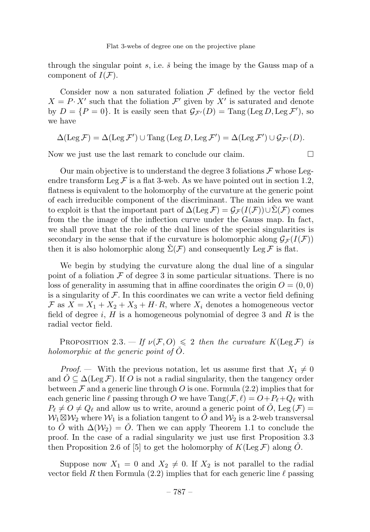through the singular point  $s$ , i.e.  $\check{s}$  being the image by the Gauss map of a component of  $I(\mathcal{F})$ .

Consider now a non saturated foliation  $\mathcal F$  defined by the vector field  $X = P \cdot X'$  such that the foliation  $\mathcal{F}'$  given by X' is saturated and denote by  $D = \{P = 0\}$ . It is easily seen that  $\mathcal{G}_{\mathcal{F}'}(D) = \text{Tang}(\text{Leg }D, \text{Leg } \mathcal{F}')$ , so we have

$$
\Delta(\operatorname{Leg} \mathcal{F}) = \Delta(\operatorname{Leg} \mathcal{F}') \cup \operatorname{Tang} (\operatorname{Leg} D, \operatorname{Leg} \mathcal{F}') = \Delta(\operatorname{Leg} \mathcal{F}') \cup \mathcal{G}_{\mathcal{F}'}(D).
$$

Now we just use the last remark to conclude our claim.

Our main objective is to understand the degree 3 foliations  $\mathcal F$  whose Legendre transform Leg  $\mathcal F$  is a flat 3-web. As we have pointed out in section 1.2, flatness is equivalent to the holomorphy of the curvature at the generic point of each irreducible component of the discriminant. The main idea we want to exploit is that the important part of  $\Delta(\text{Leg }\mathcal{F})=\mathcal{G}_{\mathcal{F}}(I(\mathcal{F}))\cup\Sigma(\mathcal{F})$  comes from the the image of the inflection curve under the Gauss map. In fact, we shall prove that the role of the dual lines of the special singularities is secondary in the sense that if the curvature is holomorphic along  $\mathcal{G}_{\mathcal{F}}(I(\mathcal{F}))$ then it is also holomorphic along  $\Sigma(\mathcal{F})$  and consequently Leg  $\mathcal{F}$  is flat.

We begin by studying the curvature along the dual line of a singular point of a foliation  $\mathcal F$  of degree 3 in some particular situations. There is no loss of generality in assuming that in affine coordinates the origin  $O = (0,0)$ is a singularity of  $\mathcal F$ . In this coordinates we can write a vector field defining  $\mathcal{F}$  as  $X = X_1 + X_2 + X_3 + H \cdot R$ , where  $X_i$  denotes a homogeneous vector field of degree  $i$ ,  $H$  is a homogeneous polynomial of degree 3 and  $R$  is the radial vector field.

PROPOSITION 2.3. — If  $\nu(\mathcal{F}, O) \leq 2$  then the curvature  $K(\text{Leg }\mathcal{F})$  is holomorphic at the generic point of  $\check{O}$ .

*Proof.* — With the previous notation, let us assume first that  $X_1 \neq 0$ and  $\hat{O} \subseteq \Delta(\text{Leg }\mathcal{F})$ . If O is not a radial singularity, then the tangency order between  $\mathcal F$  and a generic line through  $O$  is one. Formula (2.2) implies that for each generic line  $\ell$  passing through O we have  $\text{Tang}(\mathcal{F}, \ell) = O + P_{\ell} + Q_{\ell}$  with  $P_{\ell} \neq O \neq Q_{\ell}$  and allow us to write, around a generic point of  $\tilde{O}$ , Leg  $(\mathcal{F})$  $W_1 \boxtimes W_2$  where  $W_1$  is a foliation tangent to  $\widetilde{O}$  and  $W_2$  is a 2-web transversal to  $\check{O}$  with  $\Delta(\mathcal{W}_2) = \check{O}$ . Then we can apply Theorem 1.1 to conclude the proof. In the case of a radial singularity we just use first Proposition 3.3 then Proposition 2.6 of [5] to get the holomorphy of  $K(\text{Leg }\mathcal{F})$  along O.

Suppose now  $X_1 = 0$  and  $X_2 \neq 0$ . If  $X_2$  is not parallel to the radial vector field R then Formula (2.2) implies that for each generic line  $\ell$  passing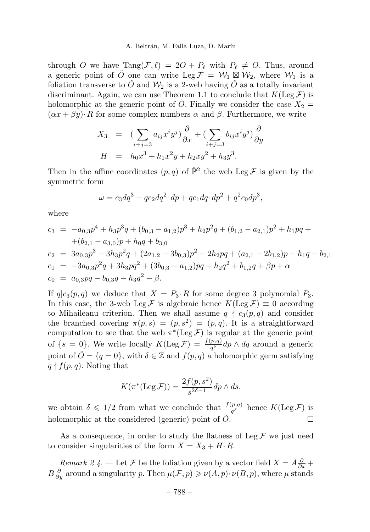through O we have  $\text{Tang}(\mathcal{F}, \ell) = 2O + P_\ell$  with  $P_\ell \neq O$ . Thus, around a generic point of  $\check{O}$  one can write Leg  $\mathcal{F} = \mathcal{W}_1 \subseteq \mathcal{W}_2$ , where  $\mathcal{W}_1$  is a foliation transverse to  $\check{O}$  and  $\mathcal{W}_2$  is a 2-web having  $\check{O}$  as a totally invariant discriminant. Again, we can use Theorem 1.1 to conclude that  $K(\text{Leg }\mathcal{F})$  is holomorphic at the generic point of  $\tilde{O}$ . Finally we consider the case  $X_2 =$  $(\alpha x + \beta y) \cdot R$  for some complex numbers  $\alpha$  and  $\beta$ . Furthermore, we write

$$
X_3 = \left(\sum_{i+j=3} a_{ij} x^i y^j\right) \frac{\partial}{\partial x} + \left(\sum_{i+j=3} b_{ij} x^i y^j\right) \frac{\partial}{\partial y}
$$
  

$$
H = h_0 x^3 + h_1 x^2 y + h_2 xy^2 + h_3 y^3.
$$

Then in the affine coordinates  $(p, q)$  of  $\check{P}^2$  the web Leg F is given by the symmetric form

$$
\omega = c_3 dq^3 + qc_2 dq^2 \cdot dp + qc_1 dq \cdot dp^2 + q^2 c_0 dp^3,
$$

where

$$
c_3 = -a_{0,3}p^4 + h_3p^3q + (b_{0,3} - a_{1,2})p^3 + h_2p^2q + (b_{1,2} - a_{2,1})p^2 + h_1pq +
$$
  
+ 
$$
(b_{2,1} - a_{3,0})p + h_0q + b_{3,0}
$$
  

$$
c_2 = 3a_{0,3}p^3 - 3h_3p^2q + (2a_{1,2} - 3b_{0,3})p^2 - 2h_2pq + (a_{2,1} - 2b_{1,2})p - h_1q - b_{2,1}
$$
  

$$
c_1 = -3a_{0,3}p^2q + 3h_3pq^2 + (3b_{0,3} - a_{1,2})pq + h_2q^2 + b_{1,2}q + \beta p + \alpha
$$
  

$$
c_0 = a_{0,3}pq - b_{0,3}q - h_3q^2 - \beta.
$$

If  $q|c_3(p,q)$  we deduce that  $X = P_3 \cdot R$  for some degree 3 polynomial  $P_3$ . In this case, the 3-web Leg F is algebraic hence  $K(\text{Leg } \mathcal{F}) \equiv 0$  according to Mihaileanu criterion. Then we shall assume  $q \nmid c_3(p, q)$  and consider the branched covering  $\pi(p, s) = (p, s^2) = (p, q)$ . It is a straightforward computation to see that the web  $\pi^*(\text{Leg }\mathcal{F})$  is regular at the generic point of  $\{s=0\}$ . We write locally  $K(\text{Leg }\mathcal{F}) = \frac{f(p,q)}{q^{\delta}}dp \wedge dq$  around a generic point of  $\check{O} = \{q = 0\}$ , with  $\delta \in \mathbb{Z}$  and  $f(p,q)$  a holomorphic germ satisfying  $q \nmid f(p,q)$ . Noting that

$$
K(\pi^*(\text{Leg }\mathcal{F})) = \frac{2f(p,s^2)}{s^{2\delta - 1}} dp \wedge ds.
$$

we obtain  $\delta \leq 1/2$  from what we conclude that  $\frac{f(p,q)}{q^{\delta}}$  hence  $K(\text{Leg }\mathcal{F})$  is holomorphic at the considered (generic) point of  $\check{O}$ .

As a consequence, in order to study the flatness of  $\text{Leg }\mathcal{F}$  we just need to consider singularities of the form  $X = X_3 + H \cdot R$ .

*Remark 2.4.* — Let  $\mathcal{F}$  be the foliation given by a vector field  $X = A \frac{\partial}{\partial x} + A \frac{\partial}{\partial y}$  $B\frac{\partial}{\partial y}$  around a singularity p. Then  $\mu(\mathcal{F}, p) \geq \nu(A, p) \cdot \nu(B, p)$ , where  $\mu$  stands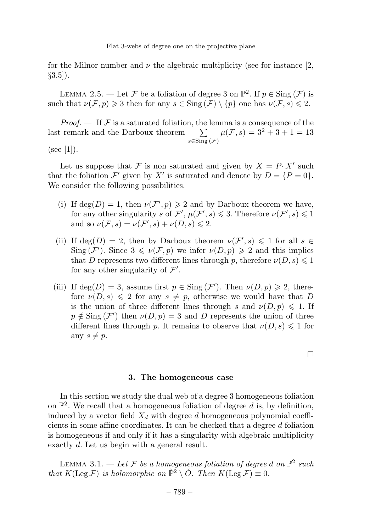for the Milnor number and  $\nu$  the algebraic multiplicity (see for instance [2,  $\S3.5$ ].

LEMMA 2.5. — Let F be a foliation of degree 3 on  $\mathbb{P}^2$ . If  $p \in Sing(\mathcal{F})$  is such that  $\nu(\mathcal{F}, p) \geq 3$  then for any  $s \in Sing(\mathcal{F}) \setminus \{p\}$  one has  $\nu(\mathcal{F}, s) \leq 2$ .

*Proof.*  $\mathbf{F}$  If  $\mathcal{F}$  is a saturated foliation, the lemma is a consequence of the last remark and the Darboux theorem  $\sum$  $\sum_{s \in Sing(\mathcal{F})} \mu(\mathcal{F}, s) = 3^2 + 3 + 1 = 13$  $(see [1]).$ 

Let us suppose that F is non saturated and given by  $X = P \cdot X'$  such that the foliation  $\mathcal{F}'$  given by X' is saturated and denote by  $D = \{P = 0\}.$ We consider the following possibilities.

- (i) If  $deg(D) = 1$ , then  $\nu(\mathcal{F}', p) \geq 2$  and by Darboux theorem we have, for any other singularity s of  $\mathcal{F}', \mu(\mathcal{F}', s) \leq 3$ . Therefore  $\nu(\mathcal{F}', s) \leq 1$ and so  $\nu(\mathcal{F},s) = \nu(\mathcal{F}',s) + \nu(D,s) \leq 2.$
- (ii) If  $\deg(D) = 2$ , then by Darboux theorem  $\nu(\mathcal{F}', s) \leq 1$  for all  $s \in$ Sing  $(\mathcal{F}')$ . Since  $3 \leq \nu(\mathcal{F}, p)$  we infer  $\nu(D, p) \geq 2$  and this implies that D represents two different lines through p, therefore  $\nu(D, s) \leq 1$ for any other singularity of  $\mathcal{F}'$ .
- (iii) If  $\deg(D) = 3$ , assume first  $p \in \text{Sing}(\mathcal{F}')$ . Then  $\nu(D, p) \geq 2$ , therefore  $\nu(D, s) \leq 2$  for any  $s \neq p$ , otherwise we would have that D is the union of three different lines through s and  $\nu(D, p) \leq 1$ . If  $p \notin \text{Sing}(\mathcal{F}')$  then  $\nu(D, p) = 3$  and D represents the union of three different lines through p. It remains to observe that  $\nu(D, s) \leq 1$  for any  $s \neq p$ .

 $\Box$ 

#### 3. The homogeneous case

In this section we study the dual web of a degree 3 homogeneous foliation on  $\mathbb{P}^2$ . We recall that a homogeneous foliation of degree d is, by definition, induced by a vector field  $X_d$  with degree d homogeneous polynomial coefficients in some affine coordinates. It can be checked that a degree  $d$  foliation is homogeneous if and only if it has a singularity with algebraic multiplicity exactly d. Let us begin with a general result.

LEMMA 3.1. — Let F be a homogeneous foliation of degree d on  $\mathbb{P}^2$  such that  $K(\text{Leg }\mathcal{F})$  is holomorphic on  $\check{\mathbb{P}}^2 \setminus \check{O}$ . Then  $K(\text{Leg }\mathcal{F}) \equiv 0$ .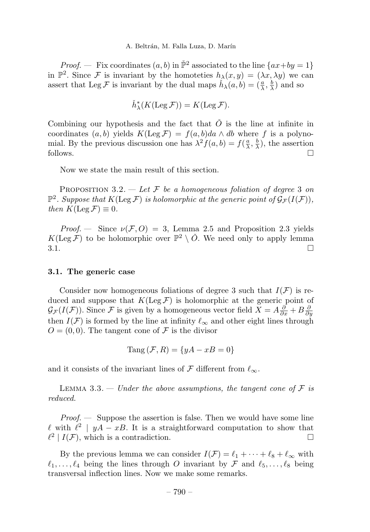*Proof.* — Fix coordinates  $(a, b)$  in  $\check{P}^2$  associated to the line  $\{ax + by = 1\}$ in  $\mathbb{P}^2$ . Since F is invariant by the homoteties  $h_{\lambda}(x, y)=(\lambda x, \lambda y)$  we can assert that Leg F is invariant by the dual maps  $\check{h}_{\lambda}(a, b) = (\frac{a}{\lambda}, \frac{b}{\lambda})$  and so

$$
\check{h}^*_{\lambda}(K(\text{Leg}\,\mathcal{F}))=K(\text{Leg}\,\mathcal{F}).
$$

Combining our hypothesis and the fact that  $\check{O}$  is the line at infinite in coordinates  $(a, b)$  yields  $K(\text{Leg } \mathcal{F}) = f(a, b)da \wedge db$  where f is a polynomial. By the previous discussion one has  $\lambda^2 f(a, b) = f(\frac{a}{\lambda}, \frac{b}{\lambda})$ , the assertion follows.  $\Box$ 

Now we state the main result of this section.

PROPOSITION 3.2. — Let F be a homogeneous foliation of degree 3 on  $\mathbb{P}^2$ . Suppose that  $K(\text{Leg }\mathcal{F})$  is holomorphic at the generic point of  $\mathcal{G}_{\mathcal{F}}(I(\mathcal{F}))$ , then  $K(\text{Leg }\mathcal{F}) \equiv 0$ .

*Proof.* — Since  $\nu(\mathcal{F}, O) = 3$ , Lemma 2.5 and Proposition 2.3 yields  $K(\text{Leg }\mathcal{F})$  to be holomorphic over  $\mathbb{P}^2 \setminus \tilde{O}$ . We need only to apply lemma 3.1.  $3.1.$ 

#### 3.1. The generic case

Consider now homogeneous foliations of degree 3 such that  $I(\mathcal{F})$  is reduced and suppose that  $K(\text{Leg }\mathcal{F})$  is holomorphic at the generic point of  $\mathcal{G}_{\mathcal{F}}(I(\mathcal{F}))$ . Since  $\mathcal{F}$  is given by a homogeneous vector field  $X = A\frac{\partial}{\partial x} + B\frac{\partial}{\partial y}$ then  $I(F)$  is formed by the line at infinity  $\ell_{\infty}$  and other eight lines through  $Q = (0, 0)$ . The tangent cone of F is the divisor

$$
Tang\left(\mathcal{F},R\right) = \{yA - xB = 0\}
$$

and it consists of the invariant lines of  $\mathcal F$  different from  $\ell_{\infty}$ .

LEMMA 3.3. — Under the above assumptions, the tangent cone of  $\mathcal F$  is reduced.

 $Proof.$  — Suppose the assertion is false. Then we would have some line  $\ell$  with  $\ell^2 | yA - xB$ . It is a straightforward computation to show that  $\ell^2 | I(F)$ , which is a contradiction.  $\ell^2$  |  $I(\mathcal{F})$ , which is a contradiction.

By the previous lemma we can consider  $I(\mathcal{F}) = \ell_1 + \cdots + \ell_8 + \ell_\infty$  with  $\ell_1,\ldots,\ell_4$  being the lines through O invariant by F and  $\ell_5,\ldots,\ell_8$  being transversal inflection lines. Now we make some remarks.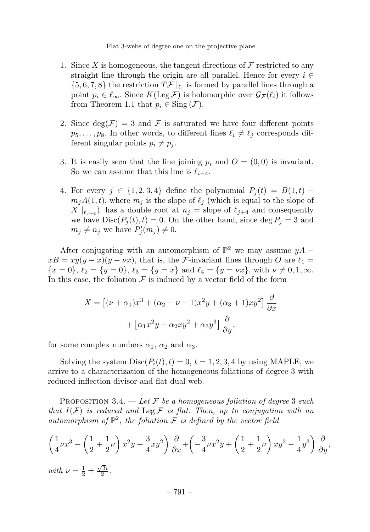- 1. Since X is homogeneous, the tangent directions of  $\mathcal F$  restricted to any straight line through the origin are all parallel. Hence for every  $i \in$  $\{5, 6, 7, 8\}$  the restriction  $T\mathcal{F}|_{\ell_i}$  is formed by parallel lines through a point  $p_i \in \ell_\infty$ . Since  $K(\text{Leg }\mathcal{F})$  is holomorphic over  $\mathcal{G}_{\mathcal{F}}(\ell_i)$  it follows from Theorem 1.1 that  $p_i \in \text{Sing}(\mathcal{F})$ .
- 2. Since  $deg(\mathcal{F}) = 3$  and  $\mathcal F$  is saturated we have four different points  $p_5,\ldots,p_8$ . In other words, to different lines  $\ell_i \neq \ell_j$  corresponds different singular points  $p_i \neq p_j$ .
- 3. It is easily seen that the line joining  $p_i$  and  $O = (0, 0)$  is invariant. So we can assume that this line is  $\ell_{i-4}$ .
- 4. For every  $j \in \{1, 2, 3, 4\}$  define the polynomial  $P_i(t) = B(1, t)$   $m_iA(1, t)$ , where  $m_i$  is the slope of  $\ell_i$  (which is equal to the slope of  $X |_{\ell_{i+4}}$ ). has a double root at  $n_j =$  slope of  $\ell_{j+4}$  and consequently we have  $Disc(P_i(t), t) = 0$ . On the other hand, since  $\deg P_i = 3$  and  $m_j \neq n_j$  we have  $P'_j(m_j) \neq 0$ .

After conjugating with an automorphism of  $\mathbb{P}^2$  we may assume  $yA$  –  $xB = xy(y - x)(y - \nu x)$ , that is, the *F*-invariant lines through O are  $\ell_1 =$  ${x = 0}$ ,  ${\ell_2 = {y = 0}$ ,  ${\ell_3 = {y = x}}$  and  ${\ell_4 = {y = \nu x}}$ , with  ${\nu \neq 0, 1, \infty}$ . In this case, the foliation  $\mathcal F$  is induced by a vector field of the form

$$
X = \left[ (\nu + \alpha_1)x^3 + (\alpha_2 - \nu - 1)x^2y + (\alpha_3 + 1)xy^2 \right] \frac{\partial}{\partial x}
$$

$$
+ \left[ \alpha_1 x^2y + \alpha_2 xy^2 + \alpha_3 y^3 \right] \frac{\partial}{\partial y},
$$

for some complex numbers  $\alpha_1$ ,  $\alpha_2$  and  $\alpha_3$ .

Solving the system  $Disc(P_i(t), t) = 0, t = 1, 2, 3, 4$  by using MAPLE, we arrive to a characterization of the homogeneous foliations of degree 3 with reduced inflection divisor and flat dual web.

PROPOSITION 3.4. — Let F be a homogeneous foliation of degree 3 such that  $I(F)$  is reduced and Leg F is flat. Then, up to conjugation with an automorphism of  $\mathbb{P}^2$ , the foliation F is defined by the vector field

$$
\left(\frac{1}{4}\nu x^3 - \left(\frac{1}{2} + \frac{1}{2}\nu\right)x^2y + \frac{3}{4}xy^2\right)\frac{\partial}{\partial x} + \left(-\frac{3}{4}\nu x^2y + \left(\frac{1}{2} + \frac{1}{2}\nu\right)xy^2 - \frac{1}{4}y^3\right)\frac{\partial}{\partial y},
$$
  
\nwith  $\nu = \frac{1}{2} \pm \frac{\sqrt{3}i}{2}$ .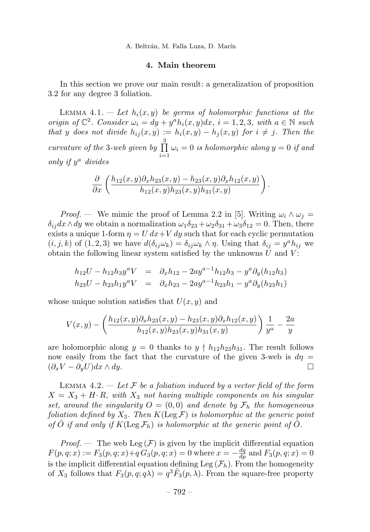#### 4. Main theorem

In this section we prove our main result: a generalization of proposition 3.2 for any degree 3 foliation.

LEMMA 4.1.  $-$  Let  $h_i(x, y)$  be germs of holomorphic functions at the origin of  $\mathbb{C}^2$ . Consider  $\omega_i = dy + y^a h_i(x, y) dx$ ,  $i = 1, 2, 3$ , with  $a \in \mathbb{N}$  such that y does not divide  $h_{ij}(x, y) := h_i(x, y) - h_j(x, y)$  for  $i \neq j$ . Then the curvature of the 3-web given by  $\prod_{i=1}^{3}$  $\prod_{i=1} \omega_i = 0$  is holomorphic along  $y = 0$  if and only if  $y^a$  divides

$$
\frac{\partial}{\partial x}\left(\frac{h_{12}(x,y)\partial_xh_{23}(x,y)-h_{23}(x,y)\partial_xh_{12}(x,y)}{h_{12}(x,y)h_{23}(x,y)h_{31}(x,y)}\right).
$$

*Proof.* — We mimic the proof of Lemma 2.2 in [5]. Writing  $\omega_i \wedge \omega_j =$  $\delta_{ij}dx\wedge dy$  we obtain a normalization  $\omega_1\delta_{23} + \omega_2\delta_{31} + \omega_3\delta_{12} = 0$ . Then, there exists a unique 1-form  $\eta = U dx + V dy$  such that for each cyclic permutation  $(i, j, k)$  of  $(1, 2, 3)$  we have  $d(\delta_{ij}\omega_k) = \delta_{ij}\omega_k \wedge \eta$ . Using that  $\delta_{ij} = y^a h_{ij}$  we obtain the following linear system satisfied by the unknowns  $U$  and  $V$ :

$$
h_{12}U - h_{12}h_{3}y^{a}V = \partial_{x}h_{12} - 2ay^{a-1}h_{12}h_{3} - y^{a}\partial_{y}(h_{12}h_{3})
$$
  
\n
$$
h_{23}U - h_{23}h_{1}y^{a}V = \partial_{x}h_{23} - 2ay^{a-1}h_{23}h_{1} - y^{a}\partial_{y}(h_{23}h_{1})
$$

whose unique solution satisfies that  $U(x, y)$  and

$$
V(x,y) - \left(\frac{h_{12}(x,y)\partial_x h_{23}(x,y) - h_{23}(x,y)\partial_x h_{12}(x,y)}{h_{12}(x,y)h_{23}(x,y)h_{31}(x,y)}\right)\frac{1}{y^a} - \frac{2a}{y}
$$

are holomorphic along  $y = 0$  thanks to  $y \nmid h_{12}h_{23}h_{31}$ . The result follows now easily from the fact that the curvature of the given 3-web is  $d\eta =$  $(\partial_x V - \partial_y U)dx \wedge dy.$ 

LEMMA 4.2.  $\overline{\phantom{a}}$  Let F be a foliation induced by a vector field of the form  $X = X_3 + H \cdot R$ , with  $X_3$  not having multiple components on his singular set, around the singularity  $O = (0,0)$  and denote by  $\mathcal{F}_h$  the homogeneous foliation defined by  $X_3$ . Then  $K(\text{Leg }\mathcal{F})$  is holomorphic at the generic point of O if and only if  $K(\text{Leg }\mathcal{F}_h)$  is holomorphic at the generic point of O.

*Proof.* — The web Leg  $(F)$  is given by the implicit differential equation  $F(p, q; x) := F_3(p, q; x) + q G_3(p, q; x) = 0$  where  $x = -\frac{dq}{dp}$  and  $F_3(p, q; x) = 0$ is the implicit differential equation defining Leg  $(\mathcal{F}_h)$ . From the homogeneity of  $X_3$  follows that  $F_3(p,q; q\lambda) = q^3 F_3(p,\lambda)$ . From the square-free property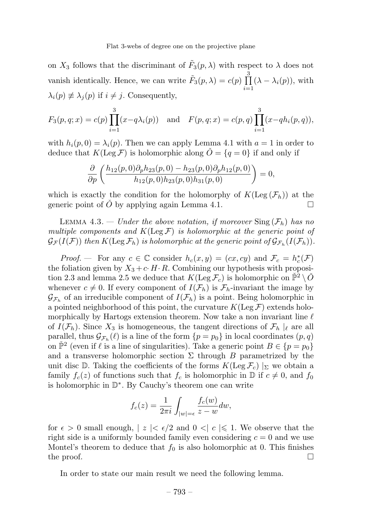on  $X_3$  follows that the discriminant of  $\tilde{F}_3(p,\lambda)$  with respect to  $\lambda$  does not vanish identically. Hence, we can write  $\tilde{F}_3(p, \lambda) = c(p) \prod_{i=1}^3$  $\prod_{i=1} (\lambda - \lambda_i(p))$ , with  $\lambda_i(p) \not\equiv \lambda_i(p)$  if  $i \neq j$ . Consequently,

$$
F_3(p,q;x) = c(p) \prod_{i=1}^3 (x - q\lambda_i(p))
$$
 and  $F(p,q;x) = c(p,q) \prod_{i=1}^3 (x - qh_i(p,q)),$ 

with  $h_i(p, 0) = \lambda_i(p)$ . Then we can apply Lemma 4.1 with  $a = 1$  in order to deduce that  $K(\text{Leg }\mathcal{F})$  is holomorphic along  $\check{O} = \{q = 0\}$  if and only if

$$
\frac{\partial}{\partial p}\left(\frac{h_{12}(p,0)\partial_p h_{23}(p,0) - h_{23}(p,0)\partial_p h_{12}(p,0)}{h_{12}(p,0)h_{23}(p,0)h_{31}(p,0)}\right) = 0,
$$

which is exactly the condition for the holomorphy of  $K(\text{Leg}(\mathcal{F}_h))$  at the generic point of  $\tilde{O}$  by applying again Lemma 4.1 generic point of  $\dot{O}$  by applying again Lemma 4.1.

LEMMA 4.3. — Under the above notation, if moreover  $\text{Sing}(\mathcal{F}_h)$  has no multiple components and  $K(\text{Leg }\mathcal{F})$  is holomorphic at the generic point of  $\mathcal{G}_{\mathcal{F}}(I(\mathcal{F}))$  then  $K(\mathrm{Leg}\,\mathcal{F}_h)$  is holomorphic at the generic point of  $\mathcal{G}_{\mathcal{F}_h}(I(\mathcal{F}_h))$ .

*Proof.* – For any  $c \in \mathbb{C}$  consider  $h_c(x, y) = (cx, cy)$  and  $\mathcal{F}_c = h_c^*(\mathcal{F})$ the foliation given by  $X_3 + c \cdot H \cdot R$ . Combining our hypothesis with proposition 2.3 and lemma 2.5 we deduce that  $K(\text{Leg }\mathcal{F}_c)$  is holomorphic on  $\check{\mathbb{P}}^2 \setminus \check{O}$ whenever  $c \neq 0$ . If every component of  $I(\mathcal{F}_h)$  is  $\mathcal{F}_h$ -invariant the image by  $\mathcal{G}_{\mathcal{F}_h}$  of an irreducible component of  $I(\mathcal{F}_h)$  is a point. Being holomorphic in a pointed neighborhood of this point, the curvature  $K(\text{Leg } \mathcal{F})$  extends holomorphically by Hartogs extension theorem. Now take a non invariant line  $\ell$ of  $I(\mathcal{F}_h)$ . Since  $X_3$  is homogeneous, the tangent directions of  $\mathcal{F}_h \mid_{\ell}$  are all parallel, thus  $\mathcal{G}_{\mathcal{F}_h}(\ell)$  is a line of the form  $\{p = p_0\}$  in local coordinates  $(p, q)$ on  $\mathbb{P}^2$  (even if  $\ell$  is a line of singularities). Take a generic point  $B \in \{p = p_0\}$ and a transverse holomorphic section  $\Sigma$  through B parametrized by the unit disc D. Taking the coefficients of the forms  $K(\text{Leg }\mathcal{F}_c)$  |<sub>Σ</sub> we obtain a family  $f_c(z)$  of functions such that  $f_c$  is holomorphic in  $\mathbb D$  if  $c \neq 0$ , and  $f_0$ is holomorphic in D∗. By Cauchy's theorem one can write

$$
f_c(z) = \frac{1}{2\pi i} \int_{|w|=\epsilon} \frac{f_c(w)}{z-w} dw,
$$

for  $\epsilon > 0$  small enough,  $|z| < \epsilon/2$  and  $0 < |c| \leq 1$ . We observe that the right side is a uniformly bounded family even considering  $c = 0$  and we use Montel's theorem to deduce that  $f_0$  is also holomorphic at 0. This finishes the proof.  $\Box$ 

In order to state our main result we need the following lemma.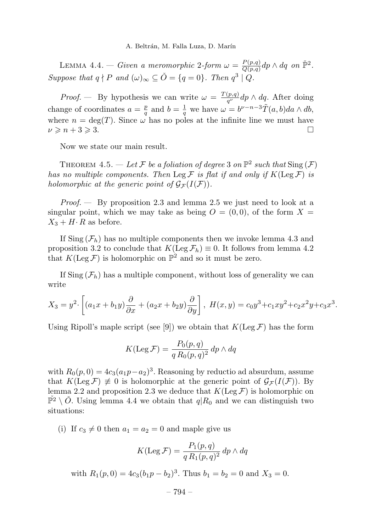LEMMA 4.4. — Given a meromorphic 2-form  $\omega = \frac{P(p,q)}{Q(p,q)} dp \wedge dq$  on  $\mathbb{P}^2$ . Suppose that  $q \nmid P$  and  $(\omega)_{\infty} \subseteq \check{O} = \{q = 0\}$ . Then  $q^3 \mid Q$ .

*Proof.* — By hypothesis we can write  $\omega = \frac{T(p,q)}{q^{\nu}} dp \wedge dq$ . After doing change of coordinates  $a = \frac{p}{q}$  and  $b = \frac{1}{q}$  we have  $\omega = b^{\nu - n - 3} \tilde{T}(a, b) da \wedge db$ , where  $n = \deg(T)$ . Since  $\omega$  has no poles at the infinite line we must have  $\nu \geqslant n + 3 \geqslant 3.$ 

Now we state our main result.

THEOREM 4.5. — Let F be a foliation of degree 3 on  $\mathbb{P}^2$  such that  $\text{Sing}(\mathcal{F})$ has no multiple components. Then Leg  $\mathcal F$  is flat if and only if  $K(\operatorname{Leg} \mathcal F)$  is holomorphic at the generic point of  $\mathcal{G}_{\mathcal{F}}(I(\mathcal{F}))$ .

*Proof.*  $\rightarrow$  By proposition 2.3 and lemma 2.5 we just need to look at a singular point, which we may take as being  $O = (0,0)$ , of the form  $X =$  $X_3 + H \cdot R$  as before.

If Sing  $(\mathcal{F}_h)$  has no multiple components then we invoke lemma 4.3 and proposition 3.2 to conclude that  $K(\text{Leg }\mathcal{F}_h) \equiv 0$ . It follows from lemma 4.2 that  $K(\text{Leg }\mathcal{F})$  is holomorphic on  $\mathbb{P}^2$  and so it must be zero.

If  $\text{Sing}(\mathcal{F}_h)$  has a multiple component, without loss of generality we can write

$$
X_3 = y^2 \cdot \left[ (a_1x + b_1y)\frac{\partial}{\partial x} + (a_2x + b_2y)\frac{\partial}{\partial y} \right], \ H(x, y) = c_0y^3 + c_1xy^2 + c_2x^2y + c_3x^3.
$$

Using Ripoll's maple script (see [9]) we obtain that  $K(\text{Leg }\mathcal{F})$  has the form

$$
K(\text{Leg}\,\mathcal{F}) = \frac{P_0(p,q)}{q R_0(p,q)^2} \, dp \wedge dq
$$

with  $R_0(p, 0) = 4c_3(a_1p-a_2)^3$ . Reasoning by reductio ad absurdum, assume that  $K(\text{Leg }\mathcal{F}) \neq 0$  is holomorphic at the generic point of  $\mathcal{G}_{\mathcal{F}}(I(\mathcal{F}))$ . By lemma 2.2 and proposition 2.3 we deduce that  $K(\text{Leg }\mathcal{F})$  is holomorphic on  $\tilde{\mathbb{P}}^2 \setminus \tilde{O}$ . Using lemma 4.4 we obtain that  $q|R_0$  and we can distinguish two situations:

(i) If  $c_3 \neq 0$  then  $a_1 = a_2 = 0$  and maple give us

$$
K(\text{Leg}\,\mathcal{F}) = \frac{P_1(p,q)}{q R_1(p,q)^2} \, dp \wedge dq
$$

with 
$$
R_1(p, 0) = 4c_3(b_1p - b_2)^3
$$
. Thus  $b_1 = b_2 = 0$  and  $X_3 = 0$ .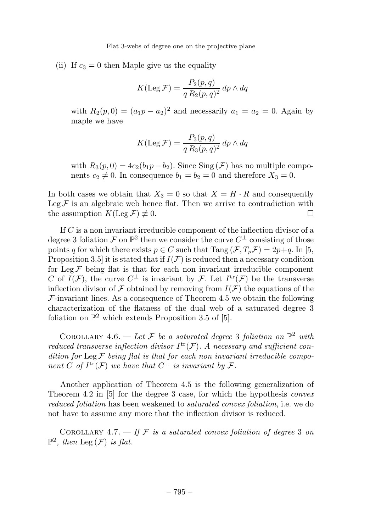(ii) If  $c_3 = 0$  then Maple give us the equality

$$
K(\text{Leg}\,\mathcal{F}) = \frac{P_2(p,q)}{q R_2(p,q)^2} \, dp \wedge dq
$$

with  $R_2(p, 0) = (a_1p - a_2)^2$  and necessarily  $a_1 = a_2 = 0$ . Again by maple we have

$$
K(\text{Leg}\,\mathcal{F}) = \frac{P_3(p,q)}{q R_3(p,q)^2} \, dp \wedge dq
$$

with  $R_3(p, 0) = 4c_2(b_1p - b_2)$ . Since Sing (F) has no multiple components  $c_2 \neq 0$ . In consequence  $b_1 = b_2 = 0$  and therefore  $X_3 = 0$ .

In both cases we obtain that  $X_3 = 0$  so that  $X = H \cdot R$  and consequently Leg F is an algebraic web hence flat. Then we arrive to contradiction with the assumption  $K($ Leg F $) \neq 0$ . the assumption  $K(\text{Leg }\mathcal{F}) \not\equiv 0$ .

If C is a non invariant irreducible component of the inflection divisor of a degree 3 foliation F on  $\mathbb{P}^2$  then we consider the curve  $C^{\perp}$  consisting of those points q for which there exists  $p \in C$  such that  $\text{Tang}(\mathcal{F}, T_p\mathcal{F})=2p+q$ . In [5, Proposition 3.5 it is stated that if  $I(F)$  is reduced then a necessary condition for Leg  $F$  being flat is that for each non invariant irreducible component C of  $I(\mathcal{F})$ , the curve  $C^{\perp}$  is invariant by  $\mathcal{F}$ . Let  $I^{\text{tr}}(\mathcal{F})$  be the transverse inflection divisor of F obtained by removing from  $I(F)$  the equations of the  $\mathcal{F}\text{-invariant lines. As a consequence of Theorem 4.5 we obtain the following}$ characterization of the flatness of the dual web of a saturated degree 3 foliation on  $\mathbb{P}^2$  which extends Proposition 3.5 of [5].

COROLLARY 4.6. — Let F be a saturated degree 3 foliation on  $\mathbb{P}^2$  with reduced transverse inflection divisor  $I^{tr}(\mathcal{F})$ . A necessary and sufficient condition for Leg  $\mathcal F$  being flat is that for each non invariant irreducible component C of  $I^{tr}(\mathcal{F})$  we have that  $C^{\perp}$  is invariant by  $\mathcal{F}$ .

Another application of Theorem 4.5 is the following generalization of Theorem 4.2 in [5] for the degree 3 case, for which the hypothesis convex reduced foliation has been weakened to saturated convex foliation, i.e. we do not have to assume any more that the inflection divisor is reduced.

COROLLARY 4.7.  $\overline{\phantom{a}}$  of  $\overline{\phantom{a}}$  f  $\overline{\phantom{a}}$  is a saturated convex foliation of degree 3 on  $\mathbb{P}^2$ , then  $\text{Leg}(\mathcal{F})$  is flat.